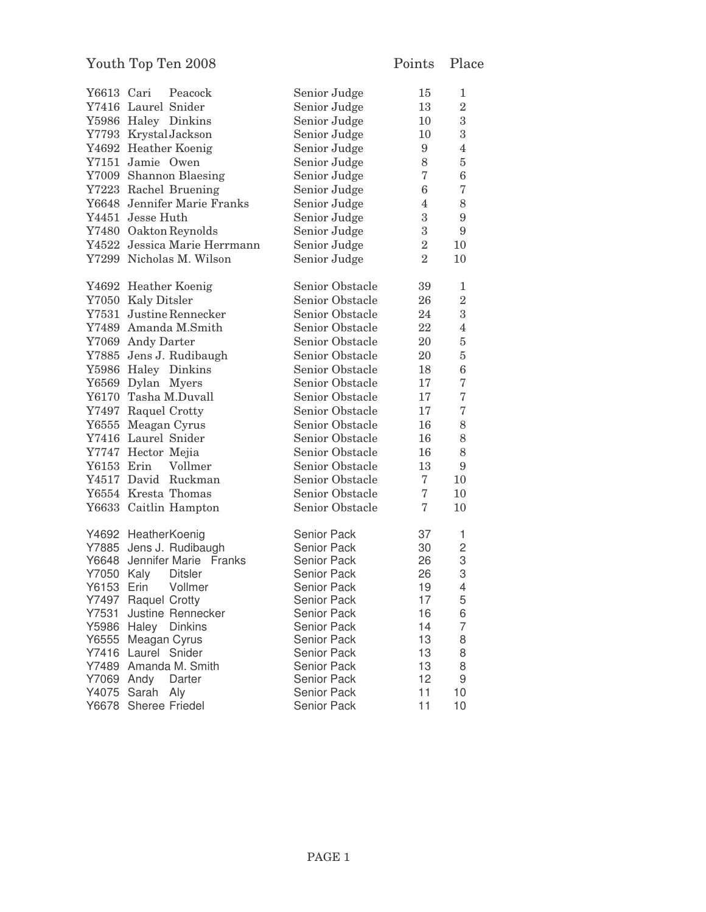| Y6613 Cari        | Peacock                       | Senior Judge       | 15               | 1                 |
|-------------------|-------------------------------|--------------------|------------------|-------------------|
|                   | Y7416 Laurel Snider           | Senior Judge       | 13               | $\overline{2}$    |
|                   | Y5986 Haley Dinkins           | Senior Judge       | 10               | $\sqrt{3}$        |
|                   | Y7793 KrystalJackson          | Senior Judge       | 10               | $\sqrt{3}$        |
|                   | Y4692 Heather Koenig          | Senior Judge       | 9                | $\overline{4}$    |
|                   | Y7151 Jamie Owen              | Senior Judge       | 8                | $\rm 5$           |
|                   | Y7009 Shannon Blaesing        | Senior Judge       | $\overline{7}$   | $\,6$             |
|                   | Y7223 Rachel Bruening         | Senior Judge       | $\,6$            | $\scriptstyle{7}$ |
|                   | Y6648 Jennifer Marie Franks   | Senior Judge       | $\overline{4}$   | $8\,$             |
|                   | Y4451 Jesse Huth              | Senior Judge       | $\boldsymbol{3}$ | $\boldsymbol{9}$  |
|                   | Y7480 Oakton Reynolds         | Senior Judge       | $\boldsymbol{3}$ | $\boldsymbol{9}$  |
|                   | Y4522 Jessica Marie Herrmann  | Senior Judge       | $\overline{2}$   | 10                |
|                   | Y7299 Nicholas M. Wilson      | Senior Judge       | $\overline{2}$   | 10                |
|                   |                               |                    |                  |                   |
|                   | Y4692 Heather Koenig          | Senior Obstacle    | 39               | 1                 |
|                   | Y7050 Kaly Ditsler            | Senior Obstacle    | 26               | $\overline{2}$    |
|                   | Y7531 Justine Rennecker       | Senior Obstacle    | 24               | $\boldsymbol{3}$  |
|                   | Y7489 Amanda M.Smith          | Senior Obstacle    | 22               | $\overline{4}$    |
|                   | Y7069 Andy Darter             | Senior Obstacle    | 20               | $\bf 5$           |
|                   | Y7885 Jens J. Rudibaugh       | Senior Obstacle    | 20               | $\bf 5$           |
|                   | Y5986 Haley Dinkins           | Senior Obstacle    | 18               | $\,6$             |
|                   | Y6569 Dylan Myers             | Senior Obstacle    | 17               | $\bf 7$           |
|                   | Y6170 Tasha M.Duvall          | Senior Obstacle    | 17               | $\bf 7$           |
|                   | Y7497 Raquel Crotty           | Senior Obstacle    | 17               | $\bf 7$           |
|                   | Y6555 Meagan Cyrus            | Senior Obstacle    | 16               | $8\,$             |
|                   | Y7416 Laurel Snider           | Senior Obstacle    | 16               | $8\,$             |
|                   | Y7747 Hector Mejia            | Senior Obstacle    | 16               | 8                 |
| Y6153 Erin        | Vollmer                       | Senior Obstacle    | 13               | $\boldsymbol{9}$  |
|                   | Y4517 David Ruckman           | Senior Obstacle    | 7                | 10                |
|                   | Y6554 Kresta Thomas           | Senior Obstacle    | $\overline{7}$   | 10                |
|                   | Y6633 Caitlin Hampton         | Senior Obstacle    | $\overline{7}$   | 10                |
|                   |                               |                    |                  |                   |
|                   | Y4692 HeatherKoenig           | Senior Pack        | 37               | 1                 |
|                   | Y7885 Jens J. Rudibaugh       | Senior Pack        | 30               | $\overline{c}$    |
|                   | Y6648 Jennifer Marie Franks   | Senior Pack        | 26               | 3                 |
| <b>Y7050 Kaly</b> | <b>Ditsler</b>                | Senior Pack        | 26               | 3                 |
| Y6153 Erin        | Vollmer                       | <b>Senior Pack</b> | 19               | $\overline{4}$    |
|                   | Y7497 Raquel Crotty           | Senior Pack        | 17               | 5                 |
| Y7531             | Justine Rennecker             | <b>Senior Pack</b> | 16               | 6                 |
|                   | Y5986 Haley<br><b>Dinkins</b> | Senior Pack        | 14               | 7                 |
| Y6555             | Meagan Cyrus                  | Senior Pack        | 13               | 8                 |
| Y7416             | Laurel Snider                 | Senior Pack        | 13               | 8                 |
| Y7489             | Amanda M. Smith               | <b>Senior Pack</b> | 13               | 8                 |
| Y7069             | Andy<br>Darter                | Senior Pack        | 12               | 9                 |
| Y4075             | Sarah<br>Aly                  | Senior Pack        | 11               | 10                |
| Y6678             | Sheree Friedel                | Senior Pack        | 11               | 10                |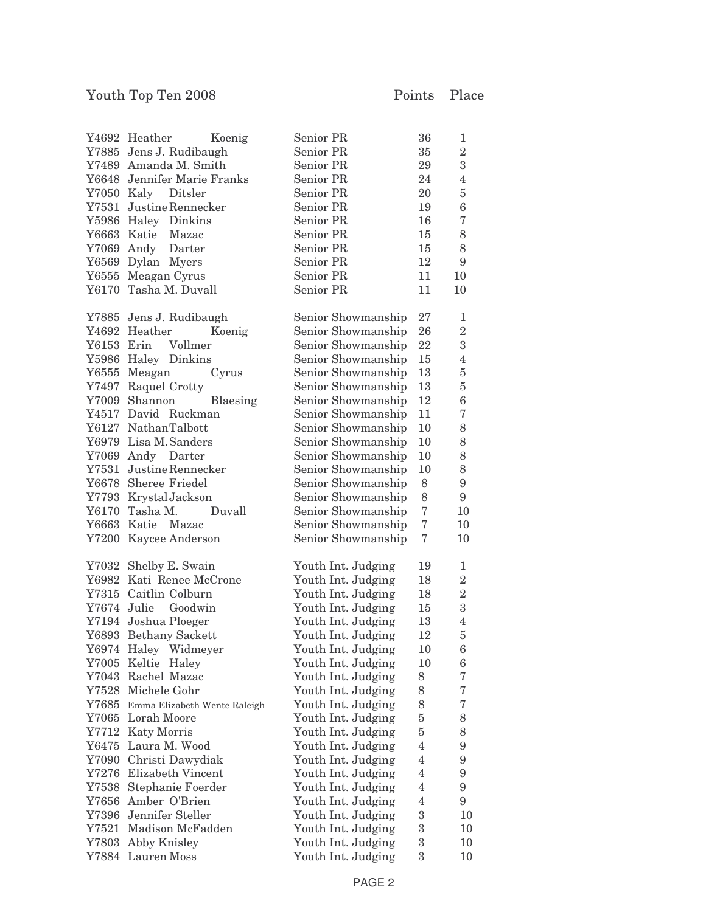|            | Y4692 Heather<br>Koenig            | Senior PR          | 36             | $\mathbf{1}$     |
|------------|------------------------------------|--------------------|----------------|------------------|
|            | Y7885 Jens J. Rudibaugh            | Senior PR          | 35             | $\overline{2}$   |
|            | Y7489 Amanda M. Smith              | Senior PR          | 29             | $\overline{3}$   |
|            | Y6648 Jennifer Marie Franks        | Senior PR          | 24             | $\overline{4}$   |
|            | Y7050 Kaly Ditsler                 | Senior PR          | 20             | $\rm 5$          |
|            | Y7531 Justine Rennecker            | Senior PR          | 19             | $\,6$            |
|            | Y5986 Haley Dinkins                | Senior PR          | 16             | $\overline{7}$   |
|            | Y6663 Katie Mazac                  | Senior PR          | 15             | 8                |
|            | Y7069 Andy Darter                  | Senior PR          | 15             | 8                |
|            | Y6569 Dylan Myers                  | Senior PR          | 12             | 9                |
|            | Y6555 Meagan Cyrus                 | Senior PR          | 11             | 10               |
|            | Y6170 Tasha M. Duvall              | Senior PR          | 11             | 10               |
|            |                                    |                    |                |                  |
|            | Y7885 Jens J. Rudibaugh            | Senior Showmanship | 27             | 1                |
|            | Y4692 Heather<br>Koenig            | Senior Showmanship | 26             | $\sqrt{2}$       |
| Y6153 Erin | Vollmer                            | Senior Showmanship | 22             | $\boldsymbol{3}$ |
|            | Y5986 Haley Dinkins                | Senior Showmanship | $15\,$         | $\overline{4}$   |
|            | Y6555 Meagan<br>Cyrus              | Senior Showmanship | 13             | $\bf 5$          |
|            | Y7497 Raquel Crotty                | Senior Showmanship | 13             | $\bf 5$          |
|            | Y7009 Shannon<br>Blaesing          | Senior Showmanship | 12             | $\,6$            |
|            | Y4517 David Ruckman                | Senior Showmanship | 11             | $\overline{7}$   |
|            | Y6127 NathanTalbott                | Senior Showmanship | 10             | 8                |
|            | Y6979 Lisa M. Sanders              | Senior Showmanship | 10             | 8                |
|            | Y7069 Andy Darter                  | Senior Showmanship | 10             | 8                |
|            | Y7531 Justine Rennecker            | Senior Showmanship | 10             | 8                |
|            | Y6678 Sheree Friedel               | Senior Showmanship | 8              | $\boldsymbol{9}$ |
|            | Y7793 KrystalJackson               | Senior Showmanship | 8              | 9                |
|            | Y6170 Tasha M.<br>Duvall           | Senior Showmanship | $\overline{7}$ | 10               |
|            | Y6663 Katie Mazac                  |                    | $\overline{7}$ | 10               |
|            |                                    | Senior Showmanship | 7              | 10               |
|            | Y7200 Kaycee Anderson              | Senior Showmanship |                |                  |
|            | Y7032 Shelby E. Swain              | Youth Int. Judging | 19             | 1                |
|            | Y6982 Kati Renee McCrone           | Youth Int. Judging | 18             | $\,2$            |
|            | Y7315 Caitlin Colburn              | Youth Int. Judging | 18             | $\overline{2}$   |
|            | Y7674 Julie Goodwin                | Youth Int. Judging | 15             | $\overline{3}$   |
|            | Y7194 Joshua Ploeger               | Youth Int. Judging | 13             | $\overline{4}$   |
|            | Y6893 Bethany Sackett              | Youth Int. Judging | 12             | $\bf 5$          |
|            | Y6974 Haley Widmeyer               | Youth Int. Judging | $10\,$         | $\,6$            |
|            | Y7005 Keltie Haley                 | Youth Int. Judging | 10             | 6                |
|            | Y7043 Rachel Mazac                 | Youth Int. Judging | 8              | 7                |
|            | Y7528 Michele Gohr                 | Youth Int. Judging | 8              | $\overline{7}$   |
|            | Y7685 Emma Elizabeth Wente Raleigh | Youth Int. Judging | 8              | $\sqrt{ }$       |
|            | Y7065 Lorah Moore                  | Youth Int. Judging | $\rm 5$        | 8                |
|            | Y7712 Katy Morris                  | Youth Int. Judging | $\overline{5}$ | 8                |
|            | Y6475 Laura M. Wood                | Youth Int. Judging | $\overline{4}$ | 9                |
|            | Y7090 Christi Dawydiak             | Youth Int. Judging | $\overline{4}$ | $\boldsymbol{9}$ |
|            | Y7276 Elizabeth Vincent            | Youth Int. Judging | $\overline{4}$ | $\boldsymbol{9}$ |
|            | Y7538 Stephanie Foerder            | Youth Int. Judging | $\overline{4}$ | 9                |
|            | Y7656 Amber O'Brien                | Youth Int. Judging | $\overline{4}$ | 9                |
|            | Y7396 Jennifer Steller             | Youth Int. Judging | 3              | 10               |
|            | Y7521 Madison McFadden             | Youth Int. Judging | $\,3$          | 10               |
|            |                                    |                    | $\,3$          |                  |
|            | Y7803 Abby Knisley                 | Youth Int. Judging | 3              | 10<br>10         |
|            | Y7884 Lauren Moss                  | Youth Int. Judging |                |                  |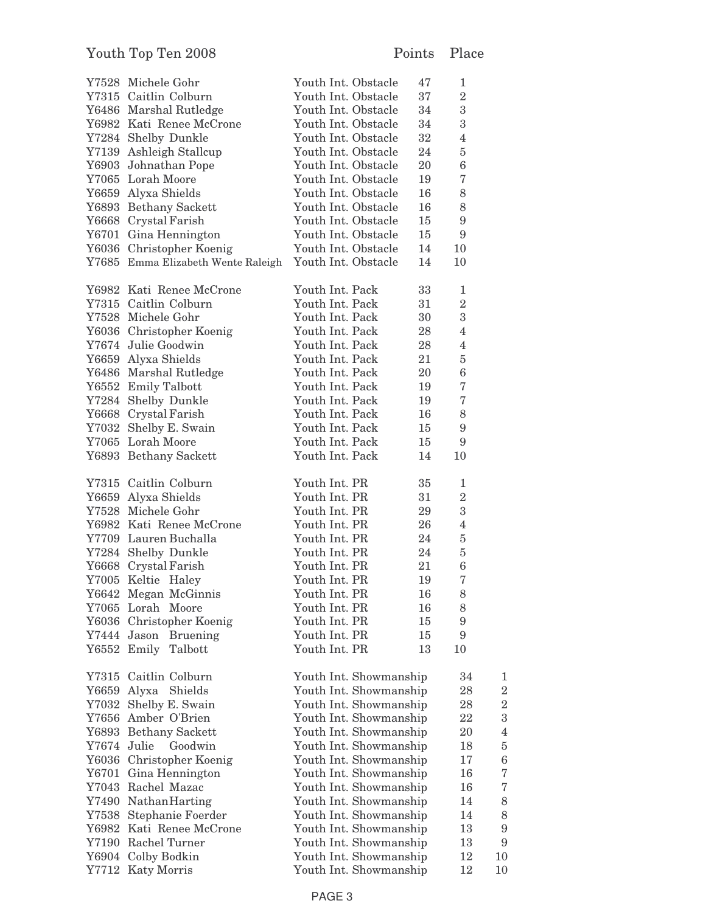|             | Y7528 Michele Gohr                 | Youth Int. Obstacle    | 47 | 1                |                  |
|-------------|------------------------------------|------------------------|----|------------------|------------------|
|             | Y7315 Caitlin Colburn              | Youth Int. Obstacle    | 37 | $\overline{2}$   |                  |
|             | Y6486 Marshal Rutledge             | Youth Int. Obstacle    | 34 | $\,3$            |                  |
|             | Y6982 Kati Renee McCrone           | Youth Int. Obstacle    | 34 | $\,3$            |                  |
|             | Y7284 Shelby Dunkle                | Youth Int. Obstacle    | 32 | $\overline{4}$   |                  |
|             | Y7139 Ashleigh Stallcup            | Youth Int. Obstacle    | 24 | $\rm 5$          |                  |
|             | Y6903 Johnathan Pope               | Youth Int. Obstacle    | 20 | $\,6$            |                  |
|             | Y7065 Lorah Moore                  | Youth Int. Obstacle    | 19 | $\,7$            |                  |
|             | Y6659 Alyxa Shields                | Youth Int. Obstacle    | 16 | 8                |                  |
|             | Y6893 Bethany Sackett              | Youth Int. Obstacle    | 16 | 8                |                  |
|             | Y6668 Crystal Farish               | Youth Int. Obstacle    | 15 | $\boldsymbol{9}$ |                  |
|             | Y6701 Gina Hennington              | Youth Int. Obstacle    | 15 | $\boldsymbol{9}$ |                  |
|             | Y6036 Christopher Koenig           | Youth Int. Obstacle    | 14 | 10               |                  |
|             | Y7685 Emma Elizabeth Wente Raleigh | Youth Int. Obstacle    | 14 | 10               |                  |
|             | Y6982 Kati Renee McCrone           | Youth Int. Pack        | 33 | 1                |                  |
|             | Y7315 Caitlin Colburn              | Youth Int. Pack        | 31 | $\overline{2}$   |                  |
|             | Y7528 Michele Gohr                 | Youth Int. Pack        | 30 | $\sqrt{3}$       |                  |
|             | Y6036 Christopher Koenig           | Youth Int. Pack        | 28 | $\overline{4}$   |                  |
|             | Y7674 Julie Goodwin                | Youth Int. Pack        | 28 | $\overline{4}$   |                  |
|             | Y6659 Alyxa Shields                | Youth Int. Pack        | 21 | $\rm 5$          |                  |
|             | Y6486 Marshal Rutledge             | Youth Int. Pack        | 20 | $\,6$            |                  |
|             | Y6552 Emily Talbott                | Youth Int. Pack        | 19 | $\,7$            |                  |
|             | Y7284 Shelby Dunkle                | Youth Int. Pack        | 19 | $\sqrt{ }$       |                  |
|             | Y6668 Crystal Farish               | Youth Int. Pack        | 16 | 8                |                  |
|             | Y7032 Shelby E. Swain              | Youth Int. Pack        | 15 | $\boldsymbol{9}$ |                  |
|             | Y7065 Lorah Moore                  | Youth Int. Pack        | 15 | 9                |                  |
|             | Y6893 Bethany Sackett              | Youth Int. Pack        | 14 | 10               |                  |
|             | Y7315 Caitlin Colburn              | Youth Int. PR          | 35 | 1                |                  |
|             | Y6659 Alyxa Shields                | Youth Int. PR          | 31 | $\overline{2}$   |                  |
|             | Y7528 Michele Gohr                 | Youth Int. PR          | 29 | $\boldsymbol{3}$ |                  |
|             | Y6982 Kati Renee McCrone           | Youth Int. PR          | 26 | $\overline{4}$   |                  |
|             | Y7709 Lauren Buchalla              | Youth Int. PR          | 24 | $\bf 5$          |                  |
|             | Y7284 Shelby Dunkle                | Youth Int. PR          | 24 | $\bf 5$          |                  |
|             | Y6668 Crystal Farish               | Youth Int. PR          | 21 | $\boldsymbol{6}$ |                  |
|             | Y7005 Keltie Haley                 | Youth Int. PR          | 19 | $\overline{7}$   |                  |
|             | Y6642 Megan McGinnis               | Youth Int. PR          | 16 | 8                |                  |
|             | Y7065 Lorah Moore                  | Youth Int. PR          | 16 | 8                |                  |
|             | Y6036 Christopher Koenig           | Youth Int. PR          | 15 | 9                |                  |
|             | Y7444 Jason Bruening               | Youth Int. PR          | 15 | 9                |                  |
|             | Y6552 Emily Talbott                | Youth Int. PR          | 13 | 10               |                  |
|             | Y7315 Caitlin Colburn              | Youth Int. Showmanship |    | 34               | 1                |
|             | Y6659 Alyxa Shields                | Youth Int. Showmanship |    | 28               | $\sqrt{2}$       |
|             | Y7032 Shelby E. Swain              | Youth Int. Showmanship |    | 28               | $\,2$            |
|             | Y7656 Amber O'Brien                | Youth Int. Showmanship |    | 22               | $\sqrt{3}$       |
|             | Y6893 Bethany Sackett              | Youth Int. Showmanship |    | 20               | $\overline{4}$   |
| Y7674 Julie | Goodwin                            | Youth Int. Showmanship |    | 18               | $\bf 5$          |
|             | Y6036 Christopher Koenig           | Youth Int. Showmanship |    | 17               | $\boldsymbol{6}$ |
|             | Y6701 Gina Hennington              | Youth Int. Showmanship |    | 16               | $\sqrt{ }$       |
|             | Y7043 Rachel Mazac                 | Youth Int. Showmanship |    | 16               | $\sqrt{2}$       |
|             | Y7490 NathanHarting                | Youth Int. Showmanship |    | 14               | $\,8\,$          |
|             | Y7538 Stephanie Foerder            | Youth Int. Showmanship |    | 14               | $\,8\,$          |
|             | Y6982 Kati Renee McCrone           | Youth Int. Showmanship |    | 13               | $\boldsymbol{9}$ |
|             | Y7190 Rachel Turner                | Youth Int. Showmanship |    | 13               | $\boldsymbol{9}$ |
|             | Y6904 Colby Bodkin                 | Youth Int. Showmanship |    | 12               | 10               |
|             | Y7712 Katy Morris                  | Youth Int. Showmanship |    | 12               | 10               |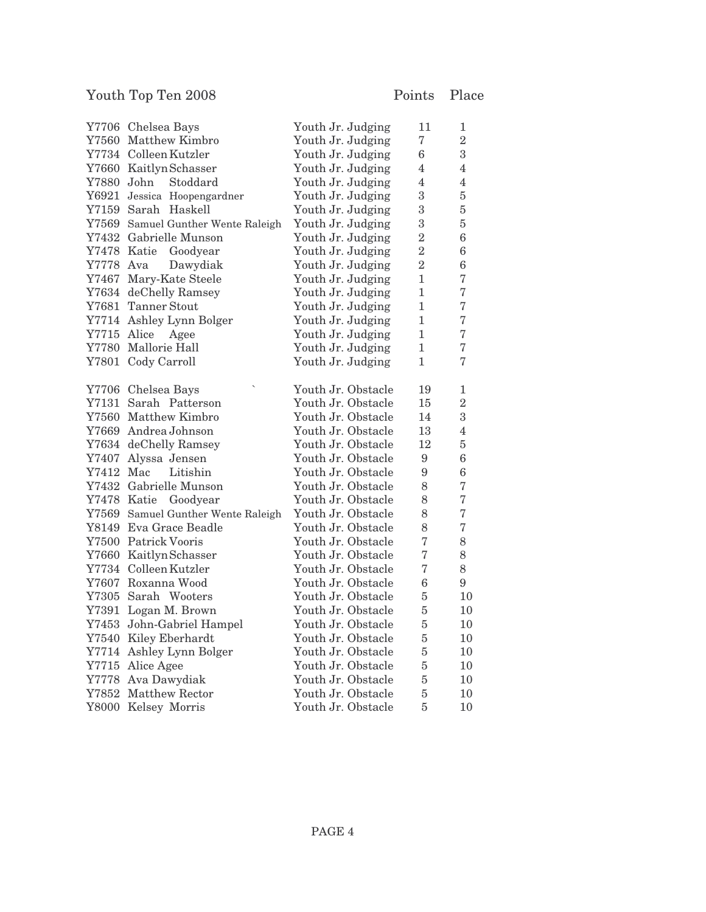|             | Y7706 Chelsea Bays                 | Youth Jr. Judging  | 11               | $\mathbf 1$      |
|-------------|------------------------------------|--------------------|------------------|------------------|
|             | Y7560 Matthew Kimbro               | Youth Jr. Judging  | $\overline{7}$   | $\overline{2}$   |
|             | Y7734 Colleen Kutzler              | Youth Jr. Judging  | 6                | 3                |
|             | Y7660 Kaitlyn Schasser             | Youth Jr. Judging  | 4                | $\overline{4}$   |
| Y7880 John  | Stoddard                           | Youth Jr. Judging  | $\overline{4}$   | $\overline{4}$   |
|             | Y6921 Jessica Hoopengardner        | Youth Jr. Judging  | 3                | $\bf 5$          |
|             | Y7159 Sarah Haskell                | Youth Jr. Judging  | 3                | $\bf 5$          |
|             | Y7569 Samuel Gunther Wente Raleigh | Youth Jr. Judging  | 3                | $\overline{5}$   |
|             | Y7432 Gabrielle Munson             | Youth Jr. Judging  | $\overline{2}$   | $\boldsymbol{6}$ |
|             | Y7478 Katie<br>Goodyear            | Youth Jr. Judging  | $\overline{2}$   | $\boldsymbol{6}$ |
| Y7778 Ava   | Dawydiak                           | Youth Jr. Judging  | $\overline{2}$   | $\boldsymbol{6}$ |
| Y7467       | Mary-Kate Steele                   | Youth Jr. Judging  | $\mathbf{1}$     | $\overline{7}$   |
|             | Y7634 deChelly Ramsey              | Youth Jr. Judging  | $\mathbf{1}$     | $\overline{7}$   |
|             | Y7681 Tanner Stout                 | Youth Jr. Judging  | $\mathbf{1}$     | $\overline{7}$   |
|             | Y7714 Ashley Lynn Bolger           | Youth Jr. Judging  | $\mathbf{1}$     | $\overline{7}$   |
| Y7715 Alice | Agee                               | Youth Jr. Judging  | $\mathbf{1}$     | $\overline{7}$   |
|             | Y7780 Mallorie Hall                | Youth Jr. Judging  | $\mathbf{1}$     | $\overline{7}$   |
|             | Y7801 Cody Carroll                 | Youth Jr. Judging  | $\mathbf{1}$     | $\overline{7}$   |
|             |                                    |                    |                  |                  |
|             | Y7706 Chelsea Bays                 | Youth Jr. Obstacle | 19               | 1                |
|             | Y7131 Sarah Patterson              | Youth Jr. Obstacle | 15               | $\overline{2}$   |
|             | Y7560 Matthew Kimbro               | Youth Jr. Obstacle | 14               | 3                |
|             | Y7669 Andrea Johnson               | Youth Jr. Obstacle | 13               | $\overline{4}$   |
|             | Y7634 deChelly Ramsey              | Youth Jr. Obstacle | 12               | $\overline{5}$   |
|             | Y7407 Alyssa Jensen                | Youth Jr. Obstacle | 9                | $\boldsymbol{6}$ |
| Y7412 Mac   | Litishin                           | Youth Jr. Obstacle | 9                | $\boldsymbol{6}$ |
|             | Y7432 Gabrielle Munson             | Youth Jr. Obstacle | 8                | $\overline{7}$   |
|             | Y7478 Katie Goodyear               | Youth Jr. Obstacle | 8                | $\sqrt{ }$       |
|             | Y7569 Samuel Gunther Wente Raleigh | Youth Jr. Obstacle | 8                | $\overline{7}$   |
|             | Y8149 Eva Grace Beadle             | Youth Jr. Obstacle | 8                | $\sqrt{ }$       |
|             | Y7500 Patrick Vooris               | Youth Jr. Obstacle | $\overline{7}$   | 8                |
|             | Y7660 Kaitlyn Schasser             | Youth Jr. Obstacle | $\overline{7}$   | 8                |
|             | Y7734 Colleen Kutzler              | Youth Jr. Obstacle | $\overline{7}$   | 8                |
|             | Y7607 Roxanna Wood                 | Youth Jr. Obstacle | $\boldsymbol{6}$ | $\overline{9}$   |
|             | Y7305 Sarah Wooters                | Youth Jr. Obstacle | $\overline{5}$   | 10               |
|             | Y7391 Logan M. Brown               | Youth Jr. Obstacle | $\overline{5}$   | 10               |
|             | Y7453 John-Gabriel Hampel          | Youth Jr. Obstacle | $\overline{5}$   | 10               |
| $\rm Y7540$ | Kiley Eberhardt                    | Youth Jr. Obstacle | $\overline{5}$   | 10               |
| Y7714       | Ashley Lynn Bolger                 | Youth Jr. Obstacle | $\overline{5}$   | 10               |
|             | Y7715 Alice Agee                   | Youth Jr. Obstacle | $\overline{5}$   | 10               |
|             | Y7778 Ava Dawydiak                 | Youth Jr. Obstacle | $\bf 5$          | 10               |
|             | Y7852 Matthew Rector               | Youth Jr. Obstacle | $\overline{5}$   | 10               |
| Y8000       | Kelsey Morris                      | Youth Jr. Obstacle | 5                | 10               |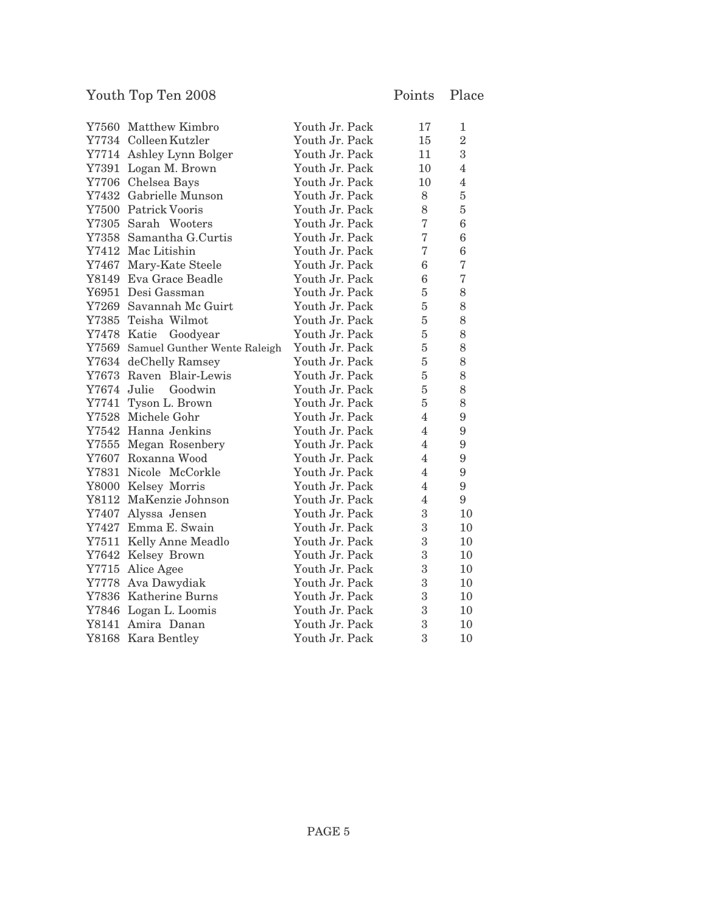| Y7560 Matthew Kimbro               | Youth Jr. Pack | 17               | 1                |
|------------------------------------|----------------|------------------|------------------|
| Y7734 Colleen Kutzler              | Youth Jr. Pack | 15               | $\overline{2}$   |
| Y7714 Ashley Lynn Bolger           | Youth Jr. Pack | 11               | 3                |
| Y7391 Logan M. Brown               | Youth Jr. Pack | 10               | $\overline{4}$   |
| Y7706 Chelsea Bays                 | Youth Jr. Pack | 10               | $\overline{4}$   |
| Y7432 Gabrielle Munson             | Youth Jr. Pack | 8                | $\overline{5}$   |
| Y7500 Patrick Vooris               | Youth Jr. Pack | 8                | $\overline{5}$   |
| Y7305 Sarah Wooters                | Youth Jr. Pack | $\overline{7}$   | 6                |
| Y7358 Samantha G.Curtis            | Youth Jr. Pack | $\overline{7}$   | $\boldsymbol{6}$ |
| Y7412 Mac Litishin                 | Youth Jr. Pack | 7                | 6                |
| Y7467 Mary-Kate Steele             | Youth Jr. Pack | 6                | $\sqrt{ }$       |
| Y8149 Eva Grace Beadle             | Youth Jr. Pack | 6                | 7                |
| Y6951 Desi Gassman                 | Youth Jr. Pack | $\overline{5}$   | 8                |
| Y7269 Savannah Mc Guirt            | Youth Jr. Pack | $\overline{5}$   | 8                |
| Y7385 Teisha Wilmot                | Youth Jr. Pack | $\overline{5}$   | 8                |
| Y7478 Katie Goodyear               | Youth Jr. Pack | $\overline{5}$   | 8                |
| Y7569 Samuel Gunther Wente Raleigh | Youth Jr. Pack | $\overline{5}$   | 8                |
| Y7634 deChelly Ramsey              | Youth Jr. Pack | 5                | 8                |
| Y7673 Raven Blair-Lewis            | Youth Jr. Pack | $\overline{5}$   | 8                |
| Y7674 Julie<br>Goodwin             | Youth Jr. Pack | $\overline{5}$   | 8                |
| Y7741 Tyson L. Brown               | Youth Jr. Pack | $\overline{5}$   | 8                |
| Y7528 Michele Gohr                 | Youth Jr. Pack | $\overline{4}$   | 9                |
| Y7542 Hanna Jenkins                | Youth Jr. Pack | $\overline{4}$   | $\boldsymbol{9}$ |
| Y7555 Megan Rosenbery              | Youth Jr. Pack | $\overline{4}$   | 9                |
| Y7607 Roxanna Wood                 | Youth Jr. Pack | $\overline{4}$   | 9                |
| Y7831 Nicole McCorkle              | Youth Jr. Pack | $\overline{4}$   | $\overline{9}$   |
| Y8000 Kelsey Morris                | Youth Jr. Pack | $\overline{4}$   | $\overline{9}$   |
| Y8112 MaKenzie Johnson             | Youth Jr. Pack | $\overline{4}$   | $\overline{9}$   |
| Y7407 Alyssa Jensen                | Youth Jr. Pack | 3                | 10               |
| Y7427 Emma E. Swain                | Youth Jr. Pack | 3                | 10               |
| Y7511 Kelly Anne Meadlo            | Youth Jr. Pack | 3                | 10               |
| Y7642 Kelsey Brown                 | Youth Jr. Pack | $\boldsymbol{3}$ | 10               |
| Y7715 Alice Agee                   | Youth Jr. Pack | 3                | 10               |
| Y7778 Ava Dawydiak                 | Youth Jr. Pack | 3                | 10               |
| Y7836 Katherine Burns              | Youth Jr. Pack | 3                | 10               |
| Y7846 Logan L. Loomis              | Youth Jr. Pack | 3                | 10               |
| Y8141 Amira Danan                  | Youth Jr. Pack | 3                | 10               |
| Y8168 Kara Bentley                 | Youth Jr. Pack | 3                | 10               |
|                                    |                |                  |                  |